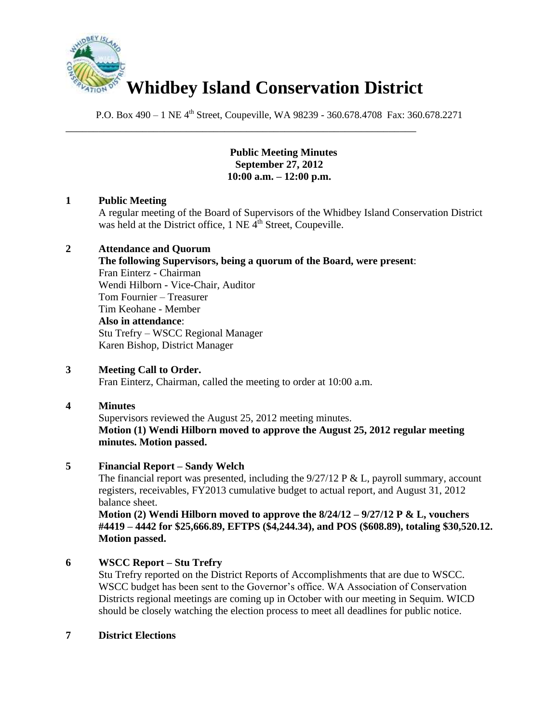

\_\_\_\_\_\_\_\_\_\_\_\_\_\_\_\_\_\_\_\_\_\_\_\_\_\_\_\_\_\_\_\_\_\_\_\_\_\_\_\_\_\_\_\_\_\_\_\_\_\_\_\_\_\_\_\_\_\_\_\_\_\_\_\_

P.O. Box 490 – 1 NE 4<sup>th</sup> Street, Coupeville, WA 98239 - 360.678.4708 Fax: 360.678.2271

#### **Public Meeting Minutes September 27, 2012 10:00 a.m. – 12:00 p.m.**

## **1 Public Meeting**

A regular meeting of the Board of Supervisors of the Whidbey Island Conservation District was held at the District office,  $1$  NE  $\tilde{4}^{th}$  Street, Coupeville.

#### **2 Attendance and Quorum**

**The following Supervisors, being a quorum of the Board, were present**: Fran Einterz - Chairman Wendi Hilborn - Vice-Chair, Auditor Tom Fournier – Treasurer Tim Keohane - Member **Also in attendance**: Stu Trefry – WSCC Regional Manager Karen Bishop, District Manager

#### **3 Meeting Call to Order.**

Fran Einterz, Chairman, called the meeting to order at 10:00 a.m.

#### **4 Minutes**

Supervisors reviewed the August 25, 2012 meeting minutes. **Motion (1) Wendi Hilborn moved to approve the August 25, 2012 regular meeting minutes. Motion passed.**

#### **5 Financial Report – Sandy Welch**

The financial report was presented, including the  $9/27/12$  P & L, payroll summary, account registers, receivables, FY2013 cumulative budget to actual report, and August 31, 2012 balance sheet.

**Motion (2) Wendi Hilborn moved to approve the 8/24/12 – 9/27/12 P & L, vouchers #4419 – 4442 for \$25,666.89, EFTPS (\$4,244.34), and POS (\$608.89), totaling \$30,520.12. Motion passed.**

# **6 WSCC Report – Stu Trefry**

Stu Trefry reported on the District Reports of Accomplishments that are due to WSCC. WSCC budget has been sent to the Governor's office. WA Association of Conservation Districts regional meetings are coming up in October with our meeting in Sequim. WICD should be closely watching the election process to meet all deadlines for public notice.

#### **7 District Elections**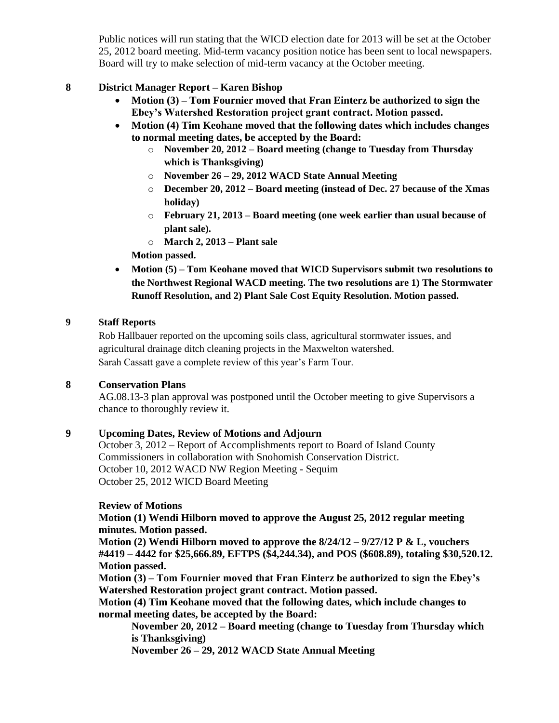Public notices will run stating that the WICD election date for 2013 will be set at the October 25, 2012 board meeting. Mid-term vacancy position notice has been sent to local newspapers. Board will try to make selection of mid-term vacancy at the October meeting.

## **8 District Manager Report – Karen Bishop**

- **Motion (3) – Tom Fournier moved that Fran Einterz be authorized to sign the Ebey's Watershed Restoration project grant contract. Motion passed.**
- **Motion (4) Tim Keohane moved that the following dates which includes changes to normal meeting dates, be accepted by the Board:**
	- o **November 20, 2012 – Board meeting (change to Tuesday from Thursday which is Thanksgiving)**
	- o **November 26 – 29, 2012 WACD State Annual Meeting**
	- o **December 20, 2012 – Board meeting (instead of Dec. 27 because of the Xmas holiday)**
	- o **February 21, 2013 – Board meeting (one week earlier than usual because of plant sale).**
	- o **March 2, 2013 – Plant sale**
	- **Motion passed.**
- **Motion (5) – Tom Keohane moved that WICD Supervisors submit two resolutions to the Northwest Regional WACD meeting. The two resolutions are 1) The Stormwater Runoff Resolution, and 2) Plant Sale Cost Equity Resolution. Motion passed.**

#### **9 Staff Reports**

Rob Hallbauer reported on the upcoming soils class, agricultural stormwater issues, and agricultural drainage ditch cleaning projects in the Maxwelton watershed. Sarah Cassatt gave a complete review of this year's Farm Tour.

#### **8 Conservation Plans**

AG.08.13-3 plan approval was postponed until the October meeting to give Supervisors a chance to thoroughly review it.

## **9 Upcoming Dates, Review of Motions and Adjourn**

October 3, 2012 – Report of Accomplishments report to Board of Island County Commissioners in collaboration with Snohomish Conservation District. October 10, 2012 WACD NW Region Meeting - Sequim October 25, 2012 WICD Board Meeting

#### **Review of Motions**

**Motion (1) Wendi Hilborn moved to approve the August 25, 2012 regular meeting minutes. Motion passed.**

**Motion (2) Wendi Hilborn moved to approve the 8/24/12 – 9/27/12 P & L, vouchers #4419 – 4442 for \$25,666.89, EFTPS (\$4,244.34), and POS (\$608.89), totaling \$30,520.12. Motion passed.**

**Motion (3) – Tom Fournier moved that Fran Einterz be authorized to sign the Ebey's Watershed Restoration project grant contract. Motion passed.** 

**Motion (4) Tim Keohane moved that the following dates, which include changes to normal meeting dates, be accepted by the Board:**

**November 20, 2012 – Board meeting (change to Tuesday from Thursday which is Thanksgiving)** 

**November 26 – 29, 2012 WACD State Annual Meeting**